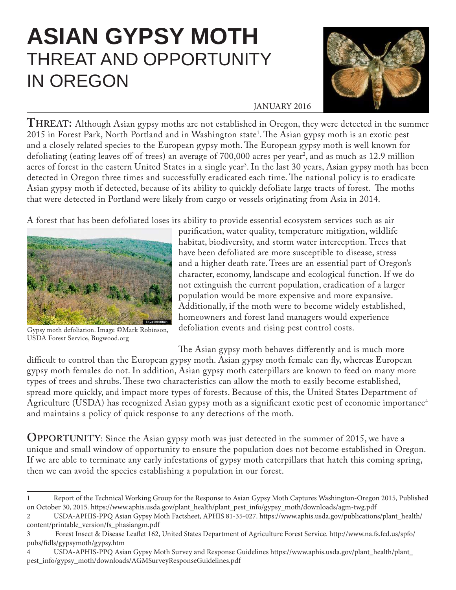## **ASIAN GYPSY MOTH** THREAT AND OPPORTUNITY IN OREGON



## JANUARY 2016

**THREAT:** Although Asian gypsy moths are not established in Oregon, they were detected in the summer 2015 in Forest Park, North Portland and in Washington state<sup>1</sup>. The Asian gypsy moth is an exotic pest and a closely related species to the European gypsy moth. The European gypsy moth is well known for defoliating (eating leaves off of trees) an average of 700,000 acres per year<sup>2</sup>, and as much as 12.9 million acres of forest in the eastern United States in a single year3 . In the last 30 years, Asian gypsy moth has been detected in Oregon three times and successfully eradicated each time. The national policy is to eradicate Asian gypsy moth if detected, because of its ability to quickly defoliate large tracts of forest. The moths that were detected in Portland were likely from cargo or vessels originating from Asia in 2014.

A forest that has been defoliated loses its ability to provide essential ecosystem services such as air



Gypsy moth defoliation. Image ©Mark Robinson, USDA Forest Service, Bugwood.org

purification, water quality, temperature mitigation, wildlife habitat, biodiversity, and storm water interception. Trees that have been defoliated are more susceptible to disease, stress and a higher death rate. Trees are an essential part of Oregon's character, economy, landscape and ecological function. If we do not extinguish the current population, eradication of a larger population would be more expensive and more expansive. Additionally, if the moth were to become widely established, homeowners and forest land managers would experience defoliation events and rising pest control costs.

The Asian gypsy moth behaves differently and is much more difficult to control than the European gypsy moth. Asian gypsy moth female can fly, whereas European gypsy moth females do not. In addition, Asian gypsy moth caterpillars are known to feed on many more types of trees and shrubs. These two characteristics can allow the moth to easily become established, spread more quickly, and impact more types of forests. Because of this, the United States Department of Agriculture (USDA) has recognized Asian gypsy moth as a significant exotic pest of economic importance<sup>4</sup> and maintains a policy of quick response to any detections of the moth.

**OPPORTUNITY**: Since the Asian gypsy moth was just detected in the summer of 2015, we have a unique and small window of opportunity to ensure the population does not become established in Oregon. If we are able to terminate any early infestations of gypsy moth caterpillars that hatch this coming spring, then we can avoid the species establishing a population in our forest.

<sup>1</sup> Report of the Technical Working Group for the Response to Asian Gypsy Moth Captures Washington-Oregon 2015, Published on October 30, 2015. https://www.aphis.usda.gov/plant\_health/plant\_pest\_info/gypsy\_moth/downloads/agm-twg.pdf

<sup>2</sup> USDA-APHIS-PPQ Asian Gypsy Moth Factsheet, APHIS 81-35-027. https://www.aphis.usda.gov/publications/plant\_health/ content/printable\_version/fs\_phasiangm.pdf

<sup>3</sup> Forest Insect & Disease Leaflet 162, United States Department of Agriculture Forest Service. http://www.na.fs.fed.us/spfo/ pubs/fidls/gypsymoth/gypsy.htm

<sup>4</sup> USDA-APHIS-PPQ Asian Gypsy Moth Survey and Response Guidelines https://www.aphis.usda.gov/plant\_health/plant\_ pest\_info/gypsy\_moth/downloads/AGMSurveyResponseGuidelines.pdf